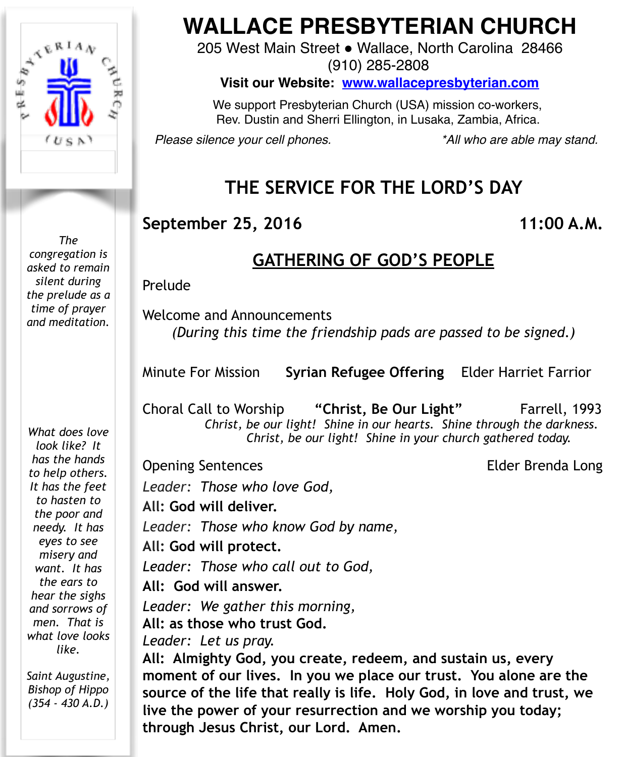

*The congregation is asked to remain silent during the prelude as a time of prayer and meditation.*

*What does love look like? It has the hands to help others. It has the feet to hasten to the poor and needy. It has eyes to see misery and want. It has the ears to hear the sighs and sorrows of men. That is what love looks like.* 

*Saint Augustine, Bishop of Hippo (354 - 430 A.D.)*

# **WALLACE PRESBYTERIAN CHURCH**

205 West Main Street . Wallace, North Carolina 28466 (910) 285-2808

**Visit our Website: [www.wallacepresbyterian.com](http://www.wallacepresbyterian.com)**

 We support Presbyterian Church (USA) mission co-workers, Rev. Dustin and Sherri Ellington, in Lusaka, Zambia, Africa.

*Please silence your cell phones. \*All who are able may stand.*

## **THE SERVICE FOR THE LORD'S DAY**

### **September 25, 2016** 11:00 A.M.

### **GATHERING OF GOD'S PEOPLE**

**Prelude** 

Welcome and Announcements *(During this time the friendship pads are passed to be signed.)*

Minute For Mission **Syrian Refugee Offering** Elder Harriet Farrior

Choral Call to Worship **"Christ, Be Our Light"** Farrell, 1993  *Christ, be our light! Shine in our hearts. Shine through the darkness. Christ, be our light! Shine in your church gathered today.* 

Opening Sentences **Elder Brenda Long** 

*Leader: Those who love God,*

**All: God will deliver.**

*Leader: Those who know God by name,*

**All: God will protect.**

*Leader: Those who call out to God,*

**All: God will answer.**

*Leader: We gather this morning,*

**All: as those who trust God.**

*Leader: Let us pray.*

**All: Almighty God, you create, redeem, and sustain us, every moment of our lives. In you we place our trust. You alone are the source of the life that really is life. Holy God, in love and trust, we live the power of your resurrection and we worship you today; through Jesus Christ, our Lord. Amen.**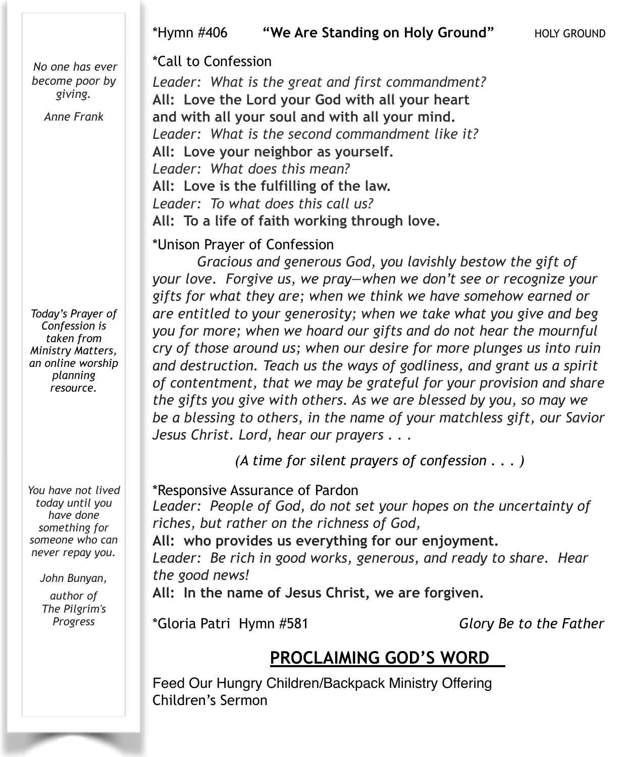### \*Hymn #406 **"We Are Standing on Holy Ground"** HOLY GROUND

*No one has ever become poor by giving.* 

*Anne Frank*

*Today's Prayer of Confession is taken from Ministry Matters, an online worship planning resource.* 

*You have not lived today until you have done something for someone who can never repay you.* 

> *John Bunyan, author of The Pilgrim's Progress*

### \*Call to Confession

*Leader: What is the great and first commandment?*  **All: Love the Lord your God with all your heart and with all your soul and with all your mind.**  *Leader: What is the second commandment like it?*  **All: Love your neighbor as yourself.**  *Leader: What does this mean?*  **All: Love is the fulfilling of the law.**  *Leader: To what does this call us?*  **All: To a life of faith working through love.**

### \*Unison Prayer of Confession

*Gracious and generous God, you lavishly bestow the gift of your love. Forgive us, we pray—when we don't see or recognize your gifts for what they are; when we think we have somehow earned or are entitled to your generosity; when we take what you give and beg you for more; when we hoard our gifts and do not hear the mournful cry of those around us; when our desire for more plunges us into ruin and destruction. Teach us the ways of godliness, and grant us a spirit of contentment, that we may be grateful for your provision and share the gifts you give with others. As we are blessed by you, so may we be a blessing to others, in the name of your matchless gift, our Savior Jesus Christ. Lord, hear our prayers . . .* 

*(A time for silent prayers of confession . . . )* 

\*Responsive Assurance of Pardon

*Leader: People of God, do not set your hopes on the uncertainty of riches, but rather on the richness of God,*

**All: who provides us everything for our enjoyment.**

*Leader: Be rich in good works, generous, and ready to share. Hear the good news!*

**All: In the name of Jesus Christ, we are forgiven.**

\*Gloria Patri Hymn #581 *Glory Be to the Father*

### **PROCLAIMING GOD'S WORD**

Feed Our Hungry Children/Backpack Ministry Offering Children's Sermon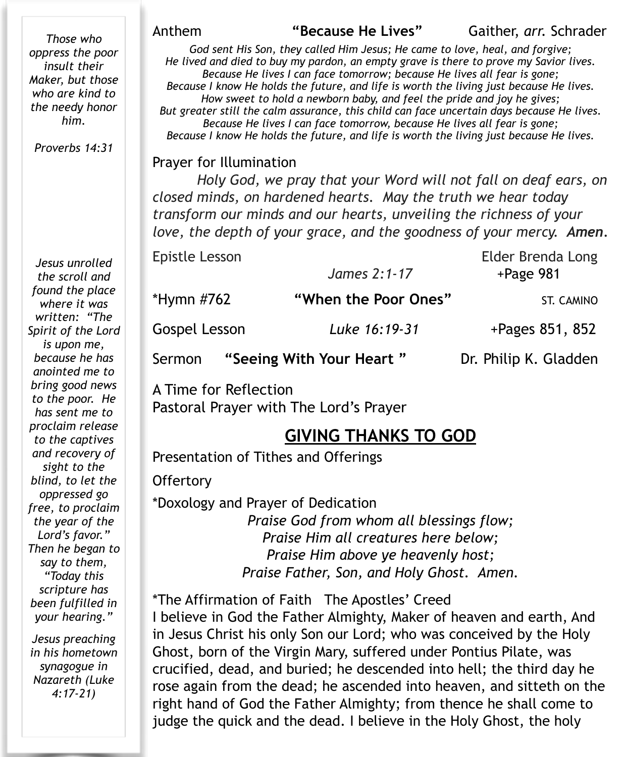Anthem **"Because He Lives"** Gaither, *arr.* Schrader

*Those who oppress the poor insult their Maker, but those who are kind to the needy honor him.* 

*Proverbs 14:31* 

*Jesus unrolled the scroll and found the place where it was written: "The Spirit of the Lord is upon me, because he has anointed me to bring good news to the poor. He has sent me to proclaim release to the captives and recovery of sight to the blind, to let the oppressed go free, to proclaim the year of the Lord's favor." Then he began to say to them, "Today this scripture has been fulfilled in your hearing."* 

*Jesus preaching in his hometown synagogue in Nazareth (Luke 4:17-21)* 

*God sent His Son, they called Him Jesus; He came to love, heal, and forgive; He lived and died to buy my pardon, an empty grave is there to prove my Savior lives. Because He lives I can face tomorrow; because He lives all fear is gone; Because I know He holds the future, and life is worth the living just because He lives. How sweet to hold a newborn baby, and feel the pride and joy he gives; But greater still the calm assurance, this child can face uncertain days because He lives. Because He lives I can face tomorrow, because He lives all fear is gone; Because I know He holds the future, and life is worth the living just because He lives.* 

### Prayer for Illumination

*Holy God, we pray that your Word will not fall on deaf ears, on closed minds, on hardened hearts. May the truth we hear today transform our minds and our hearts, unveiling the richness of your love, the depth of your grace, and the goodness of your mercy. Amen.*

| Epistle Lesson |                          | James 2:1-17          | Elder Brenda Long<br>$+$ Page 981 |
|----------------|--------------------------|-----------------------|-----------------------------------|
| *Hymn #762     |                          | "When the Poor Ones"  | ST. CAMINO                        |
| Gospel Lesson  |                          | Luke 16:19-31         | $+$ Pages 851, 852                |
| Sermon         | "Seeing With Your Heart" | Dr. Philip K. Gladden |                                   |

A Time for Reflection Pastoral Prayer with The Lord's Prayer

### **GIVING THANKS TO GOD**

Presentation of Tithes and Offerings

**Offertory** 

\*Doxology and Prayer of Dedication *Praise God from whom all blessings flow; Praise Him all creatures here below; Praise Him above ye heavenly host; Praise Father, Son, and Holy Ghost. Amen.*

\*The Affirmation of Faith The Apostles' Creed

I believe in God the Father Almighty, Maker of heaven and earth, And in Jesus Christ his only Son our Lord; who was conceived by the Holy Ghost, born of the Virgin Mary, suffered under Pontius Pilate, was crucified, dead, and buried; he descended into hell; the third day he rose again from the dead; he ascended into heaven, and sitteth on the right hand of God the Father Almighty; from thence he shall come to judge the quick and the dead. I believe in the Holy Ghost, the holy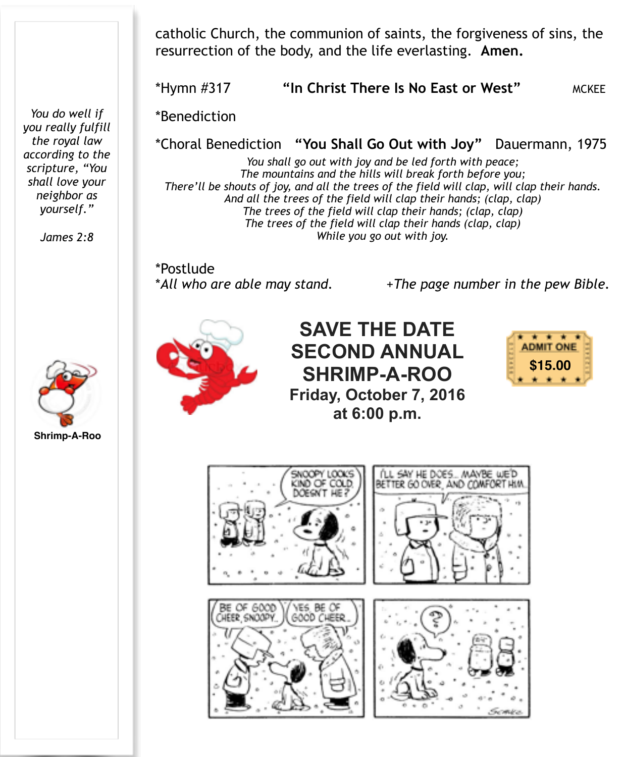catholic Church, the communion of saints, the forgiveness of sins, the resurrection of the body, and the life everlasting. **Amen.**

\*Hymn #317 **"In Christ There Is No East or West"** MCKEE

\*Benediction

\*Choral Benediction **"You Shall Go Out with Joy"** Dauermann, 1975

*You shall go out with joy and be led forth with peace; The mountains and the hills will break forth before you; There'll be shouts of joy, and all the trees of the field will clap, will clap their hands. And all the trees of the field will clap their hands; (clap, clap) The trees of the field will clap their hands; (clap, clap) The trees of the field will clap their hands (clap, clap) While you go out with joy.* 

> **SAVE THE DATE SECOND ANNUAL SHRIMP-A-ROO Friday, October 7, 2016 at 6:00 p.m.**

\*Postlude<br>\*All who are able may stand.

\**All who are able may stand.* +*The page number in the pew Bible.*

 **\$15.00**







*James 2:8*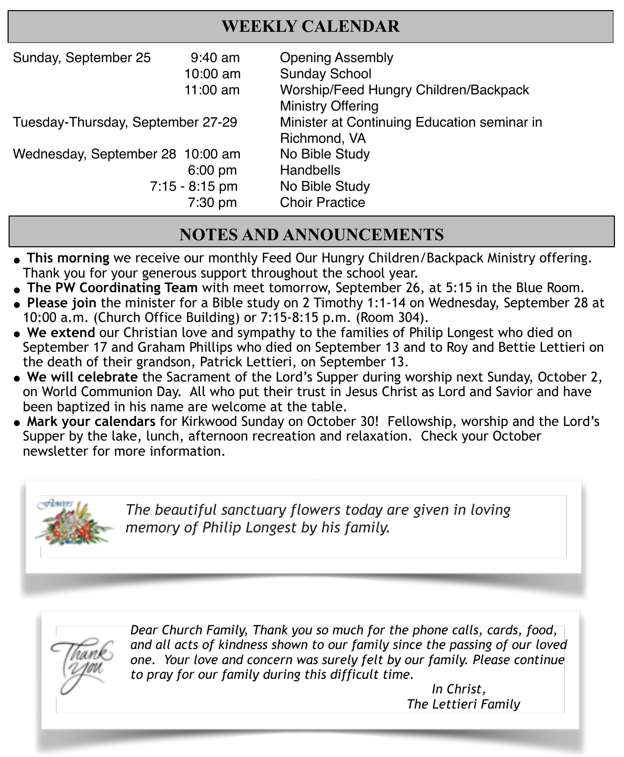### **WEEKLY CALENDAR**

| Sunday, September 25              | $9:40$ am         | <b>Opening Assembly</b>                     |
|-----------------------------------|-------------------|---------------------------------------------|
|                                   | 10:00 am          | <b>Sunday School</b>                        |
|                                   | 11:00 am          | Worship/Feed Hungry Children/Backpack       |
|                                   |                   | <b>Ministry Offering</b>                    |
| Tuesday-Thursday, September 27-29 |                   | Minister at Continuing Education seminar in |
|                                   |                   | Richmond, VA                                |
| Wednesday, September 28 10:00 am  |                   | No Bible Study                              |
|                                   | $6:00 \text{ pm}$ | Handbells                                   |
|                                   | $7:15 - 8:15$ pm  | No Bible Study                              |
|                                   | 7:30 pm           | <b>Choir Practice</b>                       |

### **NOTES AND ANNOUNCEMENTS**

- " **This morning** we receive our monthly Feed Our Hungry Children/Backpack Ministry offering. Thank you for your generous support throughout the school year.
- **The PW Coordinating Team** with meet tomorrow, September 26, at 5:15 in the Blue Room.
- " **Please join** the minister for a Bible study on 2 Timothy 1:1-14 on Wednesday, September 28 at 10:00 a.m. (Church Office Building) or 7:15-8:15 p.m. (Room 304).
- **We extend** our Christian love and sympathy to the families of Philip Longest who died on September 17 and Graham Phillips who died on September 13 and to Roy and Bettie Lettieri on the death of their grandson, Patrick Lettieri, on September 13.
- ● **We will celebrate** the Sacrament of the Lord's Supper during worship next Sunday, October 2, on World Communion Day. All who put their trust in Jesus Christ as Lord and Savior and have been baptized in his name are welcome at the table.
- **Mark your calendars** for Kirkwood Sunday on October 30! Fellowship, worship and the Lord's Supper by the lake, lunch, afternoon recreation and relaxation. Check your October newsletter for more information.



*The beautiful sanctuary flowers today are given in loving memory of Philip Longest by his family.*



*Dear Church Family, Thank you so much for the phone calls, cards, food, and all acts of kindness shown to our family since the passing of our loved one. Your love and concern was surely felt by our family. Please continue to pray for our family during this difficult time.* 

> *In Christ, The Lettieri Family*